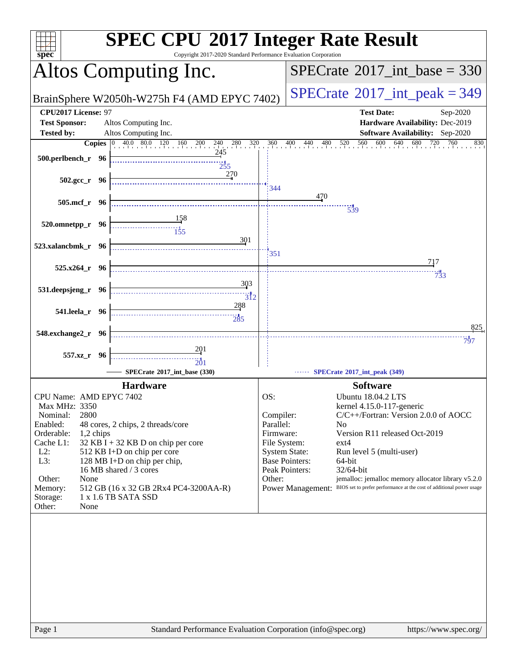| Copyright 2017-2020 Standard Performance Evaluation Corporation<br>$spec*$               | <b>SPEC CPU®2017 Integer Rate Result</b>                                               |
|------------------------------------------------------------------------------------------|----------------------------------------------------------------------------------------|
| Altos Computing Inc.                                                                     | $SPECrate^{\circledast}2017\_int\_base = 330$                                          |
| BrainSphere W2050h-W275h F4 (AMD EPYC 7402)                                              | $SPECTate$ <sup>®</sup> 2017_int_peak = 349                                            |
| CPU2017 License: 97<br><b>Test Sponsor:</b><br>Altos Computing Inc.                      | <b>Test Date:</b><br>Sep-2020<br>Hardware Availability: Dec-2019                       |
| <b>Tested by:</b><br>Altos Computing Inc.                                                | Software Availability: Sep-2020                                                        |
| <b>Copies</b> 0 40.0 80.0 120 160 200 240 280 320<br>245                                 | 680 720<br>560 600 640 680 720<br>760<br>360<br>400<br>440<br>480 520<br>830           |
| 500.perlbench_r 96<br>$\frac{1}{255}$                                                    |                                                                                        |
| 270<br>$502.\text{gcc r}$ 96                                                             | 344                                                                                    |
| 505.mcf_r 96                                                                             | 470<br>$\frac{11}{539}$                                                                |
|                                                                                          |                                                                                        |
| 520.omnetpp_r 96                                                                         |                                                                                        |
| 301<br>523.xalancbmk_r 96                                                                | 351                                                                                    |
| $525.x264$ r 96                                                                          | 717                                                                                    |
| 303<br>531.deepsjeng_r 96<br>$\overbrace{312}$                                           | $7^{11}_{33}$                                                                          |
| 288                                                                                      |                                                                                        |
| 541.leela_r 96                                                                           |                                                                                        |
| 548.exchange2_r 96                                                                       | 825<br>797                                                                             |
| 201<br>557.xz_r 96                                                                       |                                                                                        |
| 201<br>SPECrate®2017_int_base (330)                                                      | SPECrate*2017_int_peak (349)                                                           |
|                                                                                          |                                                                                        |
| <b>Hardware</b>                                                                          | <b>Software</b>                                                                        |
| CPU Name: AMD EPYC 7402<br>Max MHz: 3350                                                 | OS:<br>Ubuntu 18.04.2 LTS<br>kernel 4.15.0-117-generic                                 |
| 2800<br>Nominal:                                                                         | C/C++/Fortran: Version 2.0.0 of AOCC<br>Compiler:                                      |
| Enabled:<br>48 cores, 2 chips, 2 threads/core                                            | Parallel:<br>N <sub>0</sub>                                                            |
| Orderable:<br>1,2 chips                                                                  | Version R11 released Oct-2019<br>Firmware:<br>ext4                                     |
| Cache L1:<br>32 KB I + 32 KB D on chip per core<br>$L2$ :<br>512 KB I+D on chip per core | File System:<br><b>System State:</b><br>Run level 5 (multi-user)                       |
| L3:<br>128 MB I+D on chip per chip,                                                      | <b>Base Pointers:</b><br>64-bit                                                        |
| 16 MB shared / 3 cores                                                                   | Peak Pointers:<br>32/64-bit                                                            |
| Other:<br>None                                                                           | jemalloc: jemalloc memory allocator library v5.2.0<br>Other:                           |
| 512 GB (16 x 32 GB 2Rx4 PC4-3200AA-R)<br>Memory:<br>1 x 1.6 TB SATA SSD<br>Storage:      | Power Management: BIOS set to prefer performance at the cost of additional power usage |
| Other:<br>None                                                                           |                                                                                        |
|                                                                                          |                                                                                        |
| Standard Performance Evaluation Corporation (info@spec.org)<br>Page 1                    | https://www.spec.org/                                                                  |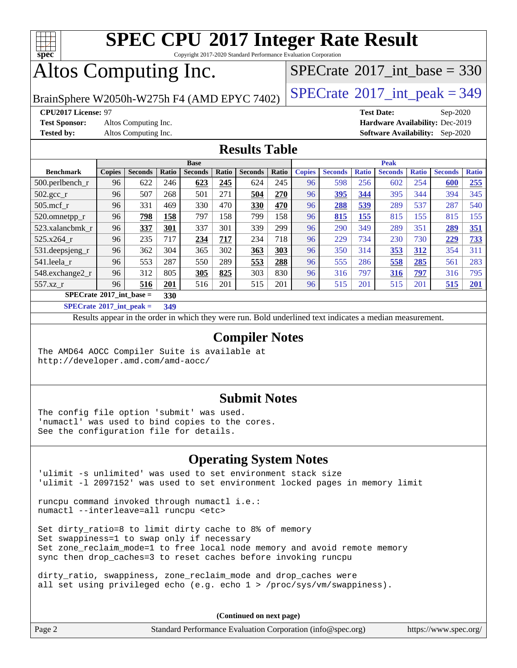

Copyright 2017-2020 Standard Performance Evaluation Corporation

## Altos Computing Inc.

 $SPECTate@2017_int\_base = 330$ 

BrainSphere W2050h-W275h F4 (AMD EPYC 7402)  $\vert$  [SPECrate](http://www.spec.org/auto/cpu2017/Docs/result-fields.html#SPECrate2017intpeak)®[2017\\_int\\_peak = 3](http://www.spec.org/auto/cpu2017/Docs/result-fields.html#SPECrate2017intpeak)49

**[Test Sponsor:](http://www.spec.org/auto/cpu2017/Docs/result-fields.html#TestSponsor)** Altos Computing Inc. **[Hardware Availability:](http://www.spec.org/auto/cpu2017/Docs/result-fields.html#HardwareAvailability)** Dec-2019

**[CPU2017 License:](http://www.spec.org/auto/cpu2017/Docs/result-fields.html#CPU2017License)** 97 **[Test Date:](http://www.spec.org/auto/cpu2017/Docs/result-fields.html#TestDate)** Sep-2020 **[Tested by:](http://www.spec.org/auto/cpu2017/Docs/result-fields.html#Testedby)** Altos Computing Inc. **[Software Availability:](http://www.spec.org/auto/cpu2017/Docs/result-fields.html#SoftwareAvailability)** Sep-2020

### **[Results Table](http://www.spec.org/auto/cpu2017/Docs/result-fields.html#ResultsTable)**

|                                   | <b>Base</b>   |                |       |                |       | <b>Peak</b>    |       |               |                |              |                |              |                |              |
|-----------------------------------|---------------|----------------|-------|----------------|-------|----------------|-------|---------------|----------------|--------------|----------------|--------------|----------------|--------------|
| <b>Benchmark</b>                  | <b>Copies</b> | <b>Seconds</b> | Ratio | <b>Seconds</b> | Ratio | <b>Seconds</b> | Ratio | <b>Copies</b> | <b>Seconds</b> | <b>Ratio</b> | <b>Seconds</b> | <b>Ratio</b> | <b>Seconds</b> | <b>Ratio</b> |
| $500$ .perlbench r                | 96            | 622            | 246   | 623            | 245   | 624            | 245   | 96            | 598            | 256          | 602            | 254          | 600            | 255          |
| 502.gcc_r                         | 96            | 507            | 268   | 501            | 271   | 504            | 270   | 96            | 395            | 344          | 395            | 344          | 394            | 345          |
| $505$ .mcf r                      | 96            | 331            | 469   | 330            | 470   | 330            | 470   | 96            | 288            | 539          | 289            | 537          | 287            | 540          |
| 520.omnetpp_r                     | 96            | 798            | 158   | 797            | 158   | 799            | 158   | 96            | 815            | 155          | 815            | 155          | 815            | 155          |
| 523.xalancbmk r                   | 96            | 337            | 301   | 337            | 301   | 339            | 299   | 96            | 290            | 349          | 289            | 351          | 289            | 351          |
| 525.x264 r                        | 96            | 235            | 717   | 234            | 717   | 234            | 718   | 96            | 229            | 734          | 230            | 730          | 229            | 733          |
| 531.deepsjeng_r                   | 96            | 362            | 304   | 365            | 302   | 363            | 303   | 96            | 350            | 314          | 353            | 312          | 354            | 311          |
| 541.leela r                       | 96            | 553            | 287   | 550            | 289   | 553            | 288   | 96            | 555            | 286          | 558            | 285          | 561            | 283          |
| 548.exchange2_r                   | 96            | 312            | 805   | 305            | 825   | 303            | 830   | 96            | 316            | 797          | 316            | <u>797</u>   | 316            | 795          |
| 557.xz r                          | 96            | 516            | 201   | 516            | 201   | 515            | 201   | 96            | 515            | 201          | 515            | 201          | 515            | 201          |
| $SPECrate^{\circ}2017$ int base = |               |                | 330   |                |       |                |       |               |                |              |                |              |                |              |

**[SPECrate](http://www.spec.org/auto/cpu2017/Docs/result-fields.html#SPECrate2017intpeak)[2017\\_int\\_peak =](http://www.spec.org/auto/cpu2017/Docs/result-fields.html#SPECrate2017intpeak) 349**

Results appear in the [order in which they were run](http://www.spec.org/auto/cpu2017/Docs/result-fields.html#RunOrder). Bold underlined text [indicates a median measurement](http://www.spec.org/auto/cpu2017/Docs/result-fields.html#Median).

#### **[Compiler Notes](http://www.spec.org/auto/cpu2017/Docs/result-fields.html#CompilerNotes)**

The AMD64 AOCC Compiler Suite is available at <http://developer.amd.com/amd-aocc/>

#### **[Submit Notes](http://www.spec.org/auto/cpu2017/Docs/result-fields.html#SubmitNotes)**

The config file option 'submit' was used. 'numactl' was used to bind copies to the cores. See the configuration file for details.

### **[Operating System Notes](http://www.spec.org/auto/cpu2017/Docs/result-fields.html#OperatingSystemNotes)**

'ulimit -s unlimited' was used to set environment stack size 'ulimit -l 2097152' was used to set environment locked pages in memory limit

runcpu command invoked through numactl i.e.: numactl --interleave=all runcpu <etc>

Set dirty\_ratio=8 to limit dirty cache to 8% of memory Set swappiness=1 to swap only if necessary Set zone\_reclaim\_mode=1 to free local node memory and avoid remote memory sync then drop\_caches=3 to reset caches before invoking runcpu

dirty\_ratio, swappiness, zone\_reclaim\_mode and drop\_caches were all set using privileged echo (e.g. echo 1 > /proc/sys/vm/swappiness).

**(Continued on next page)**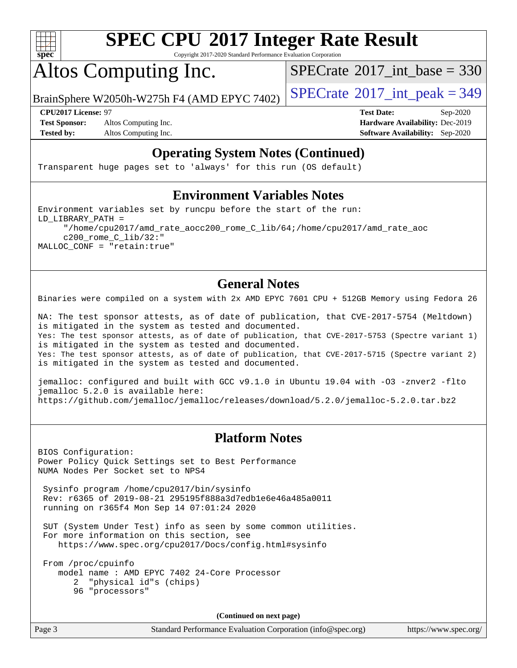

Copyright 2017-2020 Standard Performance Evaluation Corporation

## Altos Computing Inc.

 $SPECTate@2017_int\_base = 330$ 

BrainSphere W2050h-W275h F4 (AMD EPYC 7402)  $\vert$  [SPECrate](http://www.spec.org/auto/cpu2017/Docs/result-fields.html#SPECrate2017intpeak)®[2017\\_int\\_peak = 3](http://www.spec.org/auto/cpu2017/Docs/result-fields.html#SPECrate2017intpeak)49

**[Test Sponsor:](http://www.spec.org/auto/cpu2017/Docs/result-fields.html#TestSponsor)** Altos Computing Inc. **[Hardware Availability:](http://www.spec.org/auto/cpu2017/Docs/result-fields.html#HardwareAvailability)** Dec-2019

**[CPU2017 License:](http://www.spec.org/auto/cpu2017/Docs/result-fields.html#CPU2017License)** 97 **[Test Date:](http://www.spec.org/auto/cpu2017/Docs/result-fields.html#TestDate)** Sep-2020

**[Tested by:](http://www.spec.org/auto/cpu2017/Docs/result-fields.html#Testedby)** Altos Computing Inc. **[Software Availability:](http://www.spec.org/auto/cpu2017/Docs/result-fields.html#SoftwareAvailability)** Sep-2020

### **[Operating System Notes \(Continued\)](http://www.spec.org/auto/cpu2017/Docs/result-fields.html#OperatingSystemNotes)**

Transparent huge pages set to 'always' for this run (OS default)

### **[Environment Variables Notes](http://www.spec.org/auto/cpu2017/Docs/result-fields.html#EnvironmentVariablesNotes)**

Environment variables set by runcpu before the start of the run: LD\_LIBRARY\_PATH = "/home/cpu2017/amd\_rate\_aocc200\_rome\_C\_lib/64;/home/cpu2017/amd\_rate\_aoc c200\_rome\_C\_lib/32:" MALLOC\_CONF = "retain:true"

### **[General Notes](http://www.spec.org/auto/cpu2017/Docs/result-fields.html#GeneralNotes)**

Binaries were compiled on a system with 2x AMD EPYC 7601 CPU + 512GB Memory using Fedora 26

NA: The test sponsor attests, as of date of publication, that CVE-2017-5754 (Meltdown) is mitigated in the system as tested and documented. Yes: The test sponsor attests, as of date of publication, that CVE-2017-5753 (Spectre variant 1) is mitigated in the system as tested and documented. Yes: The test sponsor attests, as of date of publication, that CVE-2017-5715 (Spectre variant 2) is mitigated in the system as tested and documented.

jemalloc: configured and built with GCC v9.1.0 in Ubuntu 19.04 with -O3 -znver2 -flto jemalloc 5.2.0 is available here: <https://github.com/jemalloc/jemalloc/releases/download/5.2.0/jemalloc-5.2.0.tar.bz2>

### **[Platform Notes](http://www.spec.org/auto/cpu2017/Docs/result-fields.html#PlatformNotes)**

BIOS Configuration: Power Policy Quick Settings set to Best Performance NUMA Nodes Per Socket set to NPS4

 Sysinfo program /home/cpu2017/bin/sysinfo Rev: r6365 of 2019-08-21 295195f888a3d7edb1e6e46a485a0011 running on r365f4 Mon Sep 14 07:01:24 2020

 SUT (System Under Test) info as seen by some common utilities. For more information on this section, see <https://www.spec.org/cpu2017/Docs/config.html#sysinfo>

 From /proc/cpuinfo model name : AMD EPYC 7402 24-Core Processor 2 "physical id"s (chips) 96 "processors"

**(Continued on next page)**

Page 3 Standard Performance Evaluation Corporation [\(info@spec.org\)](mailto:info@spec.org) <https://www.spec.org/>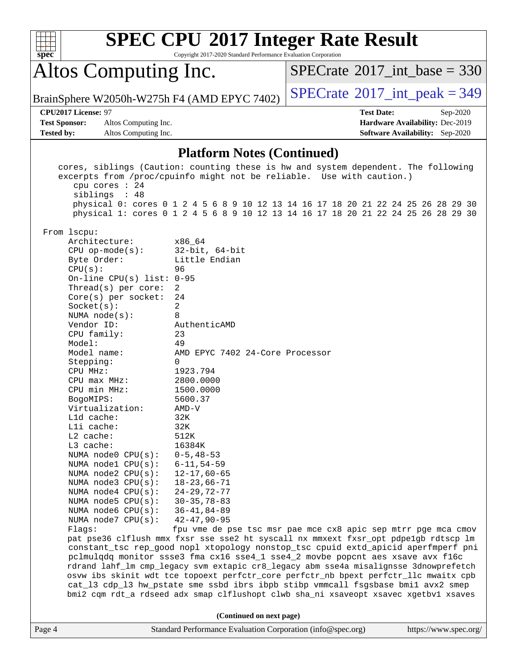| v. | е |  |
|----|---|--|

Copyright 2017-2020 Standard Performance Evaluation Corporation

# Altos Computing Inc.

 $SPECrate$ <sup>®</sup>[2017\\_int\\_base =](http://www.spec.org/auto/cpu2017/Docs/result-fields.html#SPECrate2017intbase) 330

BrainSphere W2050h-W275h F4 (AMD EPYC 7402)  $\left|$  [SPECrate](http://www.spec.org/auto/cpu2017/Docs/result-fields.html#SPECrate2017intpeak)<sup>®</sup>[2017\\_int\\_peak = 3](http://www.spec.org/auto/cpu2017/Docs/result-fields.html#SPECrate2017intpeak)49

**[Test Sponsor:](http://www.spec.org/auto/cpu2017/Docs/result-fields.html#TestSponsor)** Altos Computing Inc. **[Hardware Availability:](http://www.spec.org/auto/cpu2017/Docs/result-fields.html#HardwareAvailability)** Dec-2019 **[Tested by:](http://www.spec.org/auto/cpu2017/Docs/result-fields.html#Testedby)** Altos Computing Inc. **[Software Availability:](http://www.spec.org/auto/cpu2017/Docs/result-fields.html#SoftwareAvailability)** Sep-2020

**[CPU2017 License:](http://www.spec.org/auto/cpu2017/Docs/result-fields.html#CPU2017License)** 97 **[Test Date:](http://www.spec.org/auto/cpu2017/Docs/result-fields.html#TestDate)** Sep-2020

### **[Platform Notes \(Continued\)](http://www.spec.org/auto/cpu2017/Docs/result-fields.html#PlatformNotes)**

|        | cpu cores $: 24$<br>siblings : 48                | cores, siblings (Caution: counting these is hw and system dependent. The following<br>excerpts from /proc/cpuinfo might not be reliable. Use with caution.) |                       |
|--------|--------------------------------------------------|-------------------------------------------------------------------------------------------------------------------------------------------------------------|-----------------------|
|        |                                                  | physical 0: cores 0 1 2 4 5 6 8 9 10 12 13 14 16 17 18 20 21 22 24 25 26 28 29 30                                                                           |                       |
|        |                                                  | physical 1: cores 0 1 2 4 5 6 8 9 10 12 13 14 16 17 18 20 21 22 24 25 26 28 29 30                                                                           |                       |
|        | From 1scpu:                                      |                                                                                                                                                             |                       |
|        | Architecture:                                    | x86_64                                                                                                                                                      |                       |
|        | CPU op-mode(s): $32-bit, 64-bit$                 |                                                                                                                                                             |                       |
|        | Byte Order:                                      | Little Endian                                                                                                                                               |                       |
|        | CPU(s):<br>On-line CPU(s) list: $0-95$           | 96                                                                                                                                                          |                       |
|        | Thread( $s$ ) per core:                          | $\overline{2}$                                                                                                                                              |                       |
|        | $Core(s)$ per socket:                            | 24                                                                                                                                                          |                       |
|        | Socket(s):                                       | $\overline{2}$                                                                                                                                              |                       |
|        | NUMA $node(s):$                                  | 8                                                                                                                                                           |                       |
|        | Vendor ID:                                       | AuthenticAMD                                                                                                                                                |                       |
|        | CPU family:                                      | 23                                                                                                                                                          |                       |
|        | Model:                                           | 49                                                                                                                                                          |                       |
|        | Model name:                                      | AMD EPYC 7402 24-Core Processor                                                                                                                             |                       |
|        | Stepping:                                        | $\Omega$                                                                                                                                                    |                       |
|        | CPU MHz:                                         | 1923.794                                                                                                                                                    |                       |
|        | CPU max MHz:                                     | 2800.0000                                                                                                                                                   |                       |
|        | CPU min MHz:                                     | 1500.0000                                                                                                                                                   |                       |
|        | BogoMIPS:                                        | 5600.37                                                                                                                                                     |                       |
|        | Virtualization:                                  | AMD-V                                                                                                                                                       |                       |
|        | L1d cache:                                       | 32K                                                                                                                                                         |                       |
|        | Lli cache:                                       | 32K                                                                                                                                                         |                       |
|        | L2 cache:                                        | 512K                                                                                                                                                        |                       |
|        | L3 cache:                                        | 16384K                                                                                                                                                      |                       |
|        | NUMA $node0$ $CPU(s):$<br>NUMA $node1$ $CPU(s):$ | $0 - 5, 48 - 53$<br>$6 - 11, 54 - 59$                                                                                                                       |                       |
|        | NUMA $node2$ $CPU(s):$                           | $12 - 17,60 - 65$                                                                                                                                           |                       |
|        | NUMA $node3$ $CPU(s)$ :                          | $18 - 23,66 - 71$                                                                                                                                           |                       |
|        | NUMA $node4$ $CPU(s):$                           | 24-29,72-77                                                                                                                                                 |                       |
|        | NUMA $node5$ $CPU(s):$                           | $30 - 35, 78 - 83$                                                                                                                                          |                       |
|        | NUMA node6 $CPU(s):$                             | $36 - 41, 84 - 89$                                                                                                                                          |                       |
|        | NUMA node7 CPU(s):                               | $42 - 47,90 - 95$                                                                                                                                           |                       |
|        | Flags:                                           | fpu vme de pse tsc msr pae mce cx8 apic sep mtrr pge mca cmov                                                                                               |                       |
|        |                                                  | pat pse36 clflush mmx fxsr sse sse2 ht syscall nx mmxext fxsr_opt pdpe1gb rdtscp lm                                                                         |                       |
|        |                                                  | constant_tsc rep_good nopl xtopology nonstop_tsc cpuid extd_apicid aperfmperf pni                                                                           |                       |
|        |                                                  | pclmulqdq monitor ssse3 fma cx16 sse4_1 sse4_2 movbe popcnt aes xsave avx f16c                                                                              |                       |
|        |                                                  | rdrand lahf_lm cmp_legacy svm extapic cr8_legacy abm sse4a misalignsse 3dnowprefetch                                                                        |                       |
|        |                                                  | osvw ibs skinit wdt tce topoext perfctr_core perfctr_nb bpext perfctr_llc mwaitx cpb                                                                        |                       |
|        |                                                  | cat_13 cdp_13 hw_pstate sme ssbd ibrs ibpb stibp vmmcall fsgsbase bmil avx2 smep                                                                            |                       |
|        |                                                  | bmi2 cqm rdt_a rdseed adx smap clflushopt clwb sha_ni xsaveopt xsavec xgetbvl xsaves                                                                        |                       |
|        |                                                  | (Continued on next page)                                                                                                                                    |                       |
| Page 4 |                                                  | Standard Performance Evaluation Corporation (info@spec.org)                                                                                                 | https://www.spec.org/ |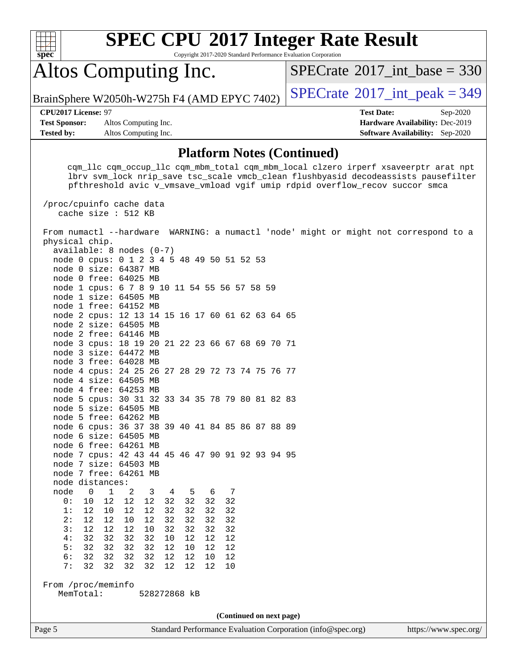

Copyright 2017-2020 Standard Performance Evaluation Corporation

## Altos Computing Inc.

 $SPECTate$ <sup>®</sup>[2017\\_int\\_base =](http://www.spec.org/auto/cpu2017/Docs/result-fields.html#SPECrate2017intbase) 330

BrainSphere W2050h-W275h F4 (AMD EPYC 7402)  $\vert$  [SPECrate](http://www.spec.org/auto/cpu2017/Docs/result-fields.html#SPECrate2017intpeak)®[2017\\_int\\_peak = 3](http://www.spec.org/auto/cpu2017/Docs/result-fields.html#SPECrate2017intpeak)49

**[Test Sponsor:](http://www.spec.org/auto/cpu2017/Docs/result-fields.html#TestSponsor)** Altos Computing Inc. **[Hardware Availability:](http://www.spec.org/auto/cpu2017/Docs/result-fields.html#HardwareAvailability)** Dec-2019 **[Tested by:](http://www.spec.org/auto/cpu2017/Docs/result-fields.html#Testedby)** Altos Computing Inc. **[Software Availability:](http://www.spec.org/auto/cpu2017/Docs/result-fields.html#SoftwareAvailability)** Sep-2020

**[CPU2017 License:](http://www.spec.org/auto/cpu2017/Docs/result-fields.html#CPU2017License)** 97 **[Test Date:](http://www.spec.org/auto/cpu2017/Docs/result-fields.html#TestDate)** Sep-2020

#### **[Platform Notes \(Continued\)](http://www.spec.org/auto/cpu2017/Docs/result-fields.html#PlatformNotes)**

 cqm\_llc cqm\_occup\_llc cqm\_mbm\_total cqm\_mbm\_local clzero irperf xsaveerptr arat npt lbrv svm\_lock nrip\_save tsc\_scale vmcb\_clean flushbyasid decodeassists pausefilter pfthreshold avic v\_vmsave\_vmload vgif umip rdpid overflow\_recov succor smca

 /proc/cpuinfo cache data cache size : 512 KB

Page 5 Standard Performance Evaluation Corporation [\(info@spec.org\)](mailto:info@spec.org) <https://www.spec.org/> From numactl --hardware WARNING: a numactl 'node' might or might not correspond to a physical chip. available: 8 nodes (0-7) node 0 cpus: 0 1 2 3 4 5 48 49 50 51 52 53 node 0 size: 64387 MB node 0 free: 64025 MB node 1 cpus: 6 7 8 9 10 11 54 55 56 57 58 59 node 1 size: 64505 MB node 1 free: 64152 MB node 2 cpus: 12 13 14 15 16 17 60 61 62 63 64 65 node 2 size: 64505 MB node 2 free: 64146 MB node 3 cpus: 18 19 20 21 22 23 66 67 68 69 70 71 node 3 size: 64472 MB node 3 free: 64028 MB node 4 cpus: 24 25 26 27 28 29 72 73 74 75 76 77 node 4 size: 64505 MB node 4 free: 64253 MB node 5 cpus: 30 31 32 33 34 35 78 79 80 81 82 83 node 5 size: 64505 MB node 5 free: 64262 MB node 6 cpus: 36 37 38 39 40 41 84 85 86 87 88 89 node 6 size: 64505 MB node 6 free: 64261 MB node 7 cpus: 42 43 44 45 46 47 90 91 92 93 94 95 node 7 size: 64503 MB node 7 free: 64261 MB node distances: node 0 1 2 3 4 5 6 7 0: 10 12 12 12 32 32 32 32 1: 12 10 12 12 32 32 32 32 2: 12 12 10 12 32 32 32 32  $3: 12 12$  4: 32 32 32 32 10 12 12 12 5: 32 32 32 32 12 10 12 12 6: 32 32 32 32 12 12 10 12 7: 32 32 32 32 12 12 12 10 From /proc/meminfo MemTotal: 528272868 kB **(Continued on next page)**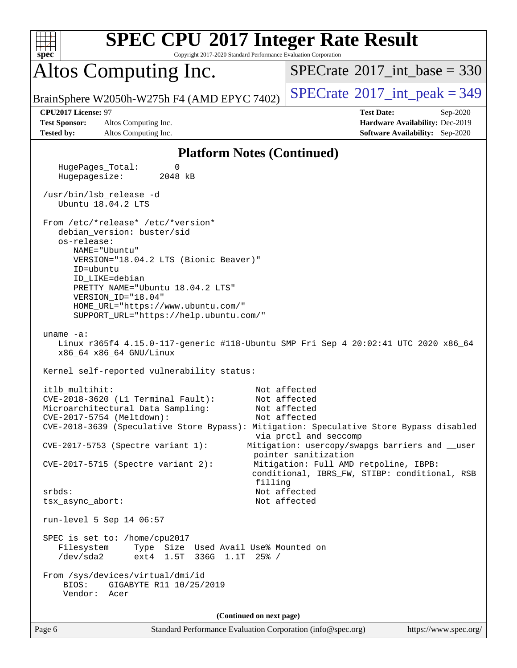| <b>SPEC CPU®2017 Integer Rate Result</b><br>Spec<br>Copyright 2017-2020 Standard Performance Evaluation Corporation           |                                                                                                            |
|-------------------------------------------------------------------------------------------------------------------------------|------------------------------------------------------------------------------------------------------------|
| Altos Computing Inc.                                                                                                          | $SPECrate^{\circ}2017\_int\_base = 330$                                                                    |
| BrainSphere W2050h-W275h F4 (AMD EPYC 7402)                                                                                   | $SPECTate$ <sup>®</sup> 2017_int_peak = 349                                                                |
| CPU2017 License: 97<br><b>Test Sponsor:</b><br>Altos Computing Inc.<br><b>Tested by:</b><br>Altos Computing Inc.              | <b>Test Date:</b><br>Sep-2020<br>Hardware Availability: Dec-2019<br><b>Software Availability:</b> Sep-2020 |
| <b>Platform Notes (Continued)</b>                                                                                             |                                                                                                            |
| HugePages_Total:<br>0<br>Hugepagesize:<br>2048 kB                                                                             |                                                                                                            |
| /usr/bin/lsb_release -d<br>Ubuntu 18.04.2 LTS                                                                                 |                                                                                                            |
| From /etc/*release* /etc/*version*<br>debian version: buster/sid                                                              |                                                                                                            |
| os-release:<br>NAME="Ubuntu"                                                                                                  |                                                                                                            |
| VERSION="18.04.2 LTS (Bionic Beaver)"<br>ID=ubuntu                                                                            |                                                                                                            |
| ID LIKE=debian<br>PRETTY_NAME="Ubuntu 18.04.2 LTS"                                                                            |                                                                                                            |
| VERSION_ID="18.04"                                                                                                            |                                                                                                            |
| HOME_URL="https://www.ubuntu.com/"<br>SUPPORT_URL="https://help.ubuntu.com/"                                                  |                                                                                                            |
| uname $-a$ :<br>Linux r365f4 4.15.0-117-generic #118-Ubuntu SMP Fri Sep 4 20:02:41 UTC 2020 x86_64<br>x86_64 x86_64 GNU/Linux |                                                                                                            |
| Kernel self-reported vulnerability status:                                                                                    |                                                                                                            |
| itlb_multihit:                                                                                                                | Not affected                                                                                               |
| CVE-2018-3620 (L1 Terminal Fault):<br>Microarchitectural Data Sampling:                                                       | Not affected<br>Not affected                                                                               |
| CVE-2017-5754 (Meltdown):                                                                                                     | Not affected                                                                                               |
| CVE-2018-3639 (Speculative Store Bypass): Mitigation: Speculative Store Bypass disabled                                       | via prctl and seccomp                                                                                      |
| $CVE-2017-5753$ (Spectre variant 1):                                                                                          | Mitigation: usercopy/swapgs barriers and __user<br>pointer sanitization                                    |
| $CVE-2017-5715$ (Spectre variant 2):<br>filling                                                                               | Mitigation: Full AMD retpoline, IBPB:<br>conditional, IBRS_FW, STIBP: conditional, RSB                     |
| $srbds$ :                                                                                                                     | Not affected                                                                                               |
| tsx_async_abort:                                                                                                              | Not affected                                                                                               |
| run-level 5 Sep 14 06:57                                                                                                      |                                                                                                            |
| SPEC is set to: /home/cpu2017<br>Filesystem<br>Type Size Used Avail Use% Mounted on<br>/dev/sda2<br>ext4 1.5T 336G 1.1T 25% / |                                                                                                            |
| From /sys/devices/virtual/dmi/id<br>BIOS:<br>GIGABYTE R11 10/25/2019<br>Vendor: Acer                                          |                                                                                                            |
| (Continued on next page)                                                                                                      |                                                                                                            |
| Page 6<br>Standard Performance Evaluation Corporation (info@spec.org)                                                         | https://www.spec.org/                                                                                      |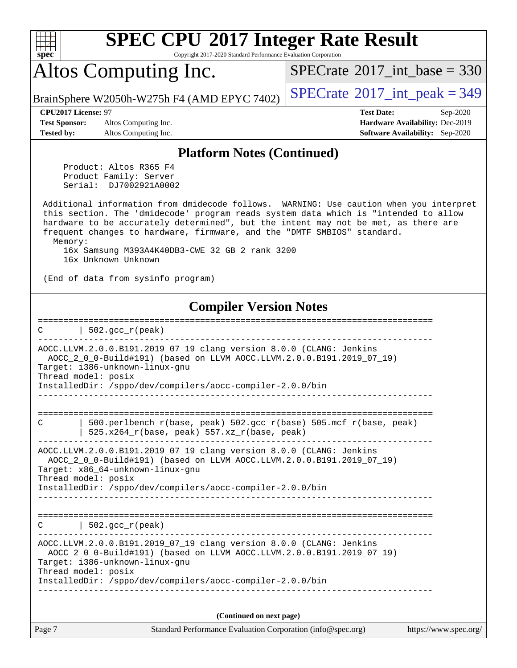

Copyright 2017-2020 Standard Performance Evaluation Corporation

## Altos Computing Inc.

 $SPECTate@2017_int\_base = 330$ 

BrainSphere W2050h-W275h F4 (AMD EPYC 7402)  $|$  [SPECrate](http://www.spec.org/auto/cpu2017/Docs/result-fields.html#SPECrate2017intpeak)®[2017\\_int\\_peak = 3](http://www.spec.org/auto/cpu2017/Docs/result-fields.html#SPECrate2017intpeak)49

**[Test Sponsor:](http://www.spec.org/auto/cpu2017/Docs/result-fields.html#TestSponsor)** Altos Computing Inc. **[Hardware Availability:](http://www.spec.org/auto/cpu2017/Docs/result-fields.html#HardwareAvailability)** Dec-2019 **[Tested by:](http://www.spec.org/auto/cpu2017/Docs/result-fields.html#Testedby)** Altos Computing Inc. **[Software Availability:](http://www.spec.org/auto/cpu2017/Docs/result-fields.html#SoftwareAvailability)** Sep-2020

**[CPU2017 License:](http://www.spec.org/auto/cpu2017/Docs/result-fields.html#CPU2017License)** 97 **[Test Date:](http://www.spec.org/auto/cpu2017/Docs/result-fields.html#TestDate)** Sep-2020

#### **[Platform Notes \(Continued\)](http://www.spec.org/auto/cpu2017/Docs/result-fields.html#PlatformNotes)**

 Product: Altos R365 F4 Product Family: Server Serial: DJ7002921A0002

 Additional information from dmidecode follows. WARNING: Use caution when you interpret this section. The 'dmidecode' program reads system data which is "intended to allow hardware to be accurately determined", but the intent may not be met, as there are frequent changes to hardware, firmware, and the "DMTF SMBIOS" standard. Memory: 16x Samsung M393A4K40DB3-CWE 32 GB 2 rank 3200

16x Unknown Unknown

(End of data from sysinfo program)

#### **[Compiler Version Notes](http://www.spec.org/auto/cpu2017/Docs/result-fields.html#CompilerVersionNotes)**

==============================================================================  $C \qquad \qquad \vert \quad 502.\text{gcc\_r}(\text{peak})$ ------------------------------------------------------------------------------ AOCC.LLVM.2.0.0.B191.2019\_07\_19 clang version 8.0.0 (CLANG: Jenkins AOCC\_2\_0\_0-Build#191) (based on LLVM AOCC.LLVM.2.0.0.B191.2019\_07\_19) Target: i386-unknown-linux-gnu Thread model: posix InstalledDir: /sppo/dev/compilers/aocc-compiler-2.0.0/bin ------------------------------------------------------------------------------ ============================================================================== C  $\vert$  500.perlbench r(base, peak) 502.gcc r(base) 505.mcf r(base, peak) | 525.x264 $r(base, peak)$  557.xz $r(base, peak)$ ------------------------------------------------------------------------------ AOCC.LLVM.2.0.0.B191.2019\_07\_19 clang version 8.0.0 (CLANG: Jenkins AOCC\_2\_0\_0-Build#191) (based on LLVM AOCC.LLVM.2.0.0.B191.2019\_07\_19) Target: x86\_64-unknown-linux-gnu Thread model: posix InstalledDir: /sppo/dev/compilers/aocc-compiler-2.0.0/bin ------------------------------------------------------------------------------ ==============================================================================  $C \qquad | \quad 502.\text{gcc\_r}(\text{peak})$ ------------------------------------------------------------------------------ AOCC.LLVM.2.0.0.B191.2019\_07\_19 clang version 8.0.0 (CLANG: Jenkins AOCC\_2\_0\_0-Build#191) (based on LLVM AOCC.LLVM.2.0.0.B191.2019\_07\_19) Target: i386-unknown-linux-gnu Thread model: posix InstalledDir: /sppo/dev/compilers/aocc-compiler-2.0.0/bin ------------------------------------------------------------------------------ **(Continued on next page)**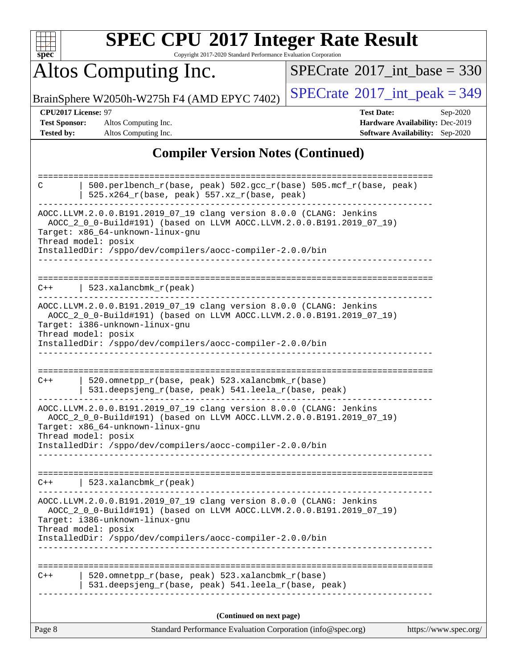| u | H | r |  |
|---|---|---|--|

Copyright 2017-2020 Standard Performance Evaluation Corporation

# Altos Computing Inc.

 $SPECrate$ <sup>®</sup>[2017\\_int\\_base =](http://www.spec.org/auto/cpu2017/Docs/result-fields.html#SPECrate2017intbase) 330

BrainSphere W2050h-W275h F4 (AMD EPYC 7402)  $\left|$  [SPECrate](http://www.spec.org/auto/cpu2017/Docs/result-fields.html#SPECrate2017intpeak)<sup>®</sup>[2017\\_int\\_peak = 3](http://www.spec.org/auto/cpu2017/Docs/result-fields.html#SPECrate2017intpeak)49

**[CPU2017 License:](http://www.spec.org/auto/cpu2017/Docs/result-fields.html#CPU2017License)** 97 **[Test Date:](http://www.spec.org/auto/cpu2017/Docs/result-fields.html#TestDate)** Sep-2020 **[Test Sponsor:](http://www.spec.org/auto/cpu2017/Docs/result-fields.html#TestSponsor)** Altos Computing Inc. **[Hardware Availability:](http://www.spec.org/auto/cpu2017/Docs/result-fields.html#HardwareAvailability)** Dec-2019 **[Tested by:](http://www.spec.org/auto/cpu2017/Docs/result-fields.html#Testedby)** Altos Computing Inc. **[Software Availability:](http://www.spec.org/auto/cpu2017/Docs/result-fields.html#SoftwareAvailability)** Sep-2020

### **[Compiler Version Notes \(Continued\)](http://www.spec.org/auto/cpu2017/Docs/result-fields.html#CompilerVersionNotes)**

| Page 8 | Standard Performance Evaluation Corporation (info@spec.org)                                                                                                                                                                                                          | https://www.spec.org/ |
|--------|----------------------------------------------------------------------------------------------------------------------------------------------------------------------------------------------------------------------------------------------------------------------|-----------------------|
|        | (Continued on next page)                                                                                                                                                                                                                                             |                       |
|        |                                                                                                                                                                                                                                                                      |                       |
| $C++$  | 520.omnetpp_r(base, peak) 523.xalancbmk_r(base)<br>531.deepsjeng_r(base, peak) 541.leela_r(base, peak)                                                                                                                                                               |                       |
|        |                                                                                                                                                                                                                                                                      |                       |
|        | AOCC.LLVM.2.0.0.B191.2019_07_19 clang version 8.0.0 (CLANG: Jenkins<br>AOCC_2_0_0-Build#191) (based on LLVM AOCC.LLVM.2.0.0.B191.2019_07_19)<br>Target: i386-unknown-linux-gnu<br>Thread model: posix<br>InstalledDir: /sppo/dev/compilers/aocc-compiler-2.0.0/bin   |                       |
|        | $C++$   523.xalancbmk_r(peak)                                                                                                                                                                                                                                        |                       |
|        | AOCC.LLVM.2.0.0.B191.2019_07_19 clang version 8.0.0 (CLANG: Jenkins<br>AOCC_2_0_0-Build#191) (based on LLVM AOCC.LLVM.2.0.0.B191.2019_07_19)<br>Target: x86_64-unknown-linux-gnu<br>Thread model: posix<br>InstalledDir: /sppo/dev/compilers/aocc-compiler-2.0.0/bin |                       |
| $C++$  | 520.omnetpp_r(base, peak) 523.xalancbmk_r(base)<br>531.deepsjeng_r(base, peak) 541.leela_r(base, peak)                                                                                                                                                               |                       |
|        | AOCC.LLVM.2.0.0.B191.2019_07_19 clang version 8.0.0 (CLANG: Jenkins<br>AOCC_2_0_0-Build#191) (based on LLVM AOCC.LLVM.2.0.0.B191.2019_07_19)<br>Target: i386-unknown-linux-gnu<br>Thread model: posix<br>InstalledDir: /sppo/dev/compilers/aocc-compiler-2.0.0/bin   |                       |
| $C++$  | 523.xalancbmk $r(\text{peak})$                                                                                                                                                                                                                                       |                       |
|        | AOCC.LLVM.2.0.0.B191.2019_07_19 clang version 8.0.0 (CLANG: Jenkins<br>AOCC_2_0_0-Build#191) (based on LLVM AOCC.LLVM.2.0.0.B191.2019_07_19)<br>Target: x86_64-unknown-linux-gnu<br>Thread model: posix<br>InstalledDir: /sppo/dev/compilers/aocc-compiler-2.0.0/bin |                       |
| С      | 500.perlbench_r(base, peak) 502.gcc_r(base) 505.mcf_r(base, peak)<br>525.x264_r(base, peak) 557.xz_r(base, peak)                                                                                                                                                     |                       |
|        |                                                                                                                                                                                                                                                                      |                       |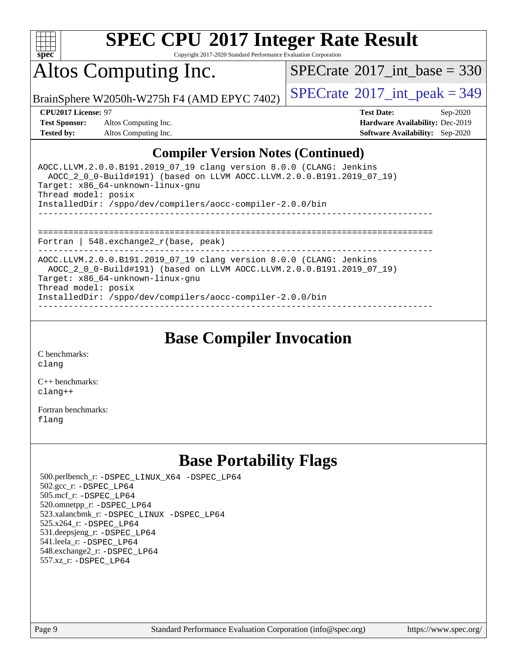

Copyright 2017-2020 Standard Performance Evaluation Corporation

## Altos Computing Inc.

 $SPECTate@2017_int\_base = 330$ 

BrainSphere W2050h-W275h F4 (AMD EPYC 7402)  $\vert$  [SPECrate](http://www.spec.org/auto/cpu2017/Docs/result-fields.html#SPECrate2017intpeak)®[2017\\_int\\_peak = 3](http://www.spec.org/auto/cpu2017/Docs/result-fields.html#SPECrate2017intpeak)49

**[Test Sponsor:](http://www.spec.org/auto/cpu2017/Docs/result-fields.html#TestSponsor)** Altos Computing Inc. **[Hardware Availability:](http://www.spec.org/auto/cpu2017/Docs/result-fields.html#HardwareAvailability)** Dec-2019 **[Tested by:](http://www.spec.org/auto/cpu2017/Docs/result-fields.html#Testedby)** Altos Computing Inc. **[Software Availability:](http://www.spec.org/auto/cpu2017/Docs/result-fields.html#SoftwareAvailability)** Sep-2020

**[CPU2017 License:](http://www.spec.org/auto/cpu2017/Docs/result-fields.html#CPU2017License)** 97 **[Test Date:](http://www.spec.org/auto/cpu2017/Docs/result-fields.html#TestDate)** Sep-2020

### **[Compiler Version Notes \(Continued\)](http://www.spec.org/auto/cpu2017/Docs/result-fields.html#CompilerVersionNotes)**

| AOCC.LLVM.2.0.0.B191.2019 07 19 clang version 8.0.0 (CLANG: Jenkins<br>AOCC 2 0 0-Build#191) (based on LLVM AOCC.LLVM.2.0.0.B191.2019 07 19)<br>Target: x86 64-unknown-linux-gnu<br>Thread model: posix<br>InstalledDir: /sppo/dev/compilers/aocc-compiler-2.0.0/bin |
|----------------------------------------------------------------------------------------------------------------------------------------------------------------------------------------------------------------------------------------------------------------------|
| -----------------------------------<br>Fortran   548. $exchange2 r(base, peak)$                                                                                                                                                                                      |
| AOCC.LLVM.2.0.0.B191.2019 07 19 clang version 8.0.0 (CLANG: Jenkins<br>AOCC 2 0 0-Build#191) (based on LLVM AOCC.LLVM.2.0.0.B191.2019 07 19)<br>Target: x86 64-unknown-linux-gnu<br>Thread model: posix<br>InstalledDir: /sppo/dev/compilers/aocc-compiler-2.0.0/bin |

**[Base Compiler Invocation](http://www.spec.org/auto/cpu2017/Docs/result-fields.html#BaseCompilerInvocation)**

[C benchmarks](http://www.spec.org/auto/cpu2017/Docs/result-fields.html#Cbenchmarks): [clang](http://www.spec.org/cpu2017/results/res2020q4/cpu2017-20200918-24009.flags.html#user_CCbase_clang-c)

[C++ benchmarks:](http://www.spec.org/auto/cpu2017/Docs/result-fields.html#CXXbenchmarks) [clang++](http://www.spec.org/cpu2017/results/res2020q4/cpu2017-20200918-24009.flags.html#user_CXXbase_clang-cpp)

[Fortran benchmarks](http://www.spec.org/auto/cpu2017/Docs/result-fields.html#Fortranbenchmarks): [flang](http://www.spec.org/cpu2017/results/res2020q4/cpu2017-20200918-24009.flags.html#user_FCbase_flang)

## **[Base Portability Flags](http://www.spec.org/auto/cpu2017/Docs/result-fields.html#BasePortabilityFlags)**

 500.perlbench\_r: [-DSPEC\\_LINUX\\_X64](http://www.spec.org/cpu2017/results/res2020q4/cpu2017-20200918-24009.flags.html#b500.perlbench_r_basePORTABILITY_DSPEC_LINUX_X64) [-DSPEC\\_LP64](http://www.spec.org/cpu2017/results/res2020q4/cpu2017-20200918-24009.flags.html#b500.perlbench_r_baseEXTRA_PORTABILITY_DSPEC_LP64) 502.gcc\_r: [-DSPEC\\_LP64](http://www.spec.org/cpu2017/results/res2020q4/cpu2017-20200918-24009.flags.html#suite_baseEXTRA_PORTABILITY502_gcc_r_DSPEC_LP64) 505.mcf\_r: [-DSPEC\\_LP64](http://www.spec.org/cpu2017/results/res2020q4/cpu2017-20200918-24009.flags.html#suite_baseEXTRA_PORTABILITY505_mcf_r_DSPEC_LP64) 520.omnetpp\_r: [-DSPEC\\_LP64](http://www.spec.org/cpu2017/results/res2020q4/cpu2017-20200918-24009.flags.html#suite_baseEXTRA_PORTABILITY520_omnetpp_r_DSPEC_LP64) 523.xalancbmk\_r: [-DSPEC\\_LINUX](http://www.spec.org/cpu2017/results/res2020q4/cpu2017-20200918-24009.flags.html#b523.xalancbmk_r_basePORTABILITY_DSPEC_LINUX) [-DSPEC\\_LP64](http://www.spec.org/cpu2017/results/res2020q4/cpu2017-20200918-24009.flags.html#suite_baseEXTRA_PORTABILITY523_xalancbmk_r_DSPEC_LP64) 525.x264\_r: [-DSPEC\\_LP64](http://www.spec.org/cpu2017/results/res2020q4/cpu2017-20200918-24009.flags.html#suite_baseEXTRA_PORTABILITY525_x264_r_DSPEC_LP64) 531.deepsjeng\_r: [-DSPEC\\_LP64](http://www.spec.org/cpu2017/results/res2020q4/cpu2017-20200918-24009.flags.html#suite_baseEXTRA_PORTABILITY531_deepsjeng_r_DSPEC_LP64) 541.leela\_r: [-DSPEC\\_LP64](http://www.spec.org/cpu2017/results/res2020q4/cpu2017-20200918-24009.flags.html#suite_baseEXTRA_PORTABILITY541_leela_r_DSPEC_LP64) 548.exchange2\_r: [-DSPEC\\_LP64](http://www.spec.org/cpu2017/results/res2020q4/cpu2017-20200918-24009.flags.html#suite_baseEXTRA_PORTABILITY548_exchange2_r_DSPEC_LP64) 557.xz\_r: [-DSPEC\\_LP64](http://www.spec.org/cpu2017/results/res2020q4/cpu2017-20200918-24009.flags.html#suite_baseEXTRA_PORTABILITY557_xz_r_DSPEC_LP64)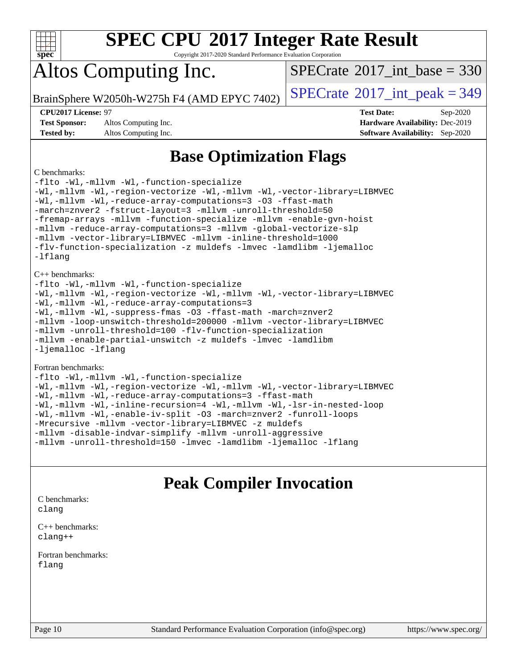

Copyright 2017-2020 Standard Performance Evaluation Corporation

## Altos Computing Inc.

 $SPECTate$ <sup>®</sup>[2017\\_int\\_base =](http://www.spec.org/auto/cpu2017/Docs/result-fields.html#SPECrate2017intbase) 330

BrainSphere W2050h-W275h F4 (AMD EPYC 7402)  $\vert$  [SPECrate](http://www.spec.org/auto/cpu2017/Docs/result-fields.html#SPECrate2017intpeak)®[2017\\_int\\_peak = 3](http://www.spec.org/auto/cpu2017/Docs/result-fields.html#SPECrate2017intpeak)49

**[Test Sponsor:](http://www.spec.org/auto/cpu2017/Docs/result-fields.html#TestSponsor)** Altos Computing Inc. **[Hardware Availability:](http://www.spec.org/auto/cpu2017/Docs/result-fields.html#HardwareAvailability)** Dec-2019 **[Tested by:](http://www.spec.org/auto/cpu2017/Docs/result-fields.html#Testedby)** Altos Computing Inc. **[Software Availability:](http://www.spec.org/auto/cpu2017/Docs/result-fields.html#SoftwareAvailability)** Sep-2020

**[CPU2017 License:](http://www.spec.org/auto/cpu2017/Docs/result-fields.html#CPU2017License)** 97 **[Test Date:](http://www.spec.org/auto/cpu2017/Docs/result-fields.html#TestDate)** Sep-2020

## **[Base Optimization Flags](http://www.spec.org/auto/cpu2017/Docs/result-fields.html#BaseOptimizationFlags)**

#### [C benchmarks:](http://www.spec.org/auto/cpu2017/Docs/result-fields.html#Cbenchmarks)

[-flto](http://www.spec.org/cpu2017/results/res2020q4/cpu2017-20200918-24009.flags.html#user_CCbase_aocc-flto) [-Wl,-mllvm -Wl,-function-specialize](http://www.spec.org/cpu2017/results/res2020q4/cpu2017-20200918-24009.flags.html#user_CCbase_F-function-specialize_7e7e661e57922243ee67c9a1251cb8910e607325179a0ce7f2884e09a6f5d4a5ef0ae4f37e8a2a11c95fc48e931f06dc2b6016f14b511fcb441e048bef1b065a) [-Wl,-mllvm -Wl,-region-vectorize](http://www.spec.org/cpu2017/results/res2020q4/cpu2017-20200918-24009.flags.html#user_CCbase_F-region-vectorize_fb6c6b5aa293c88efc6c7c2b52b20755e943585b1fe8658c35afef78727fff56e1a56891413c30e36b8e2a6f9a71126986319243e80eb6110b78b288f533c52b) [-Wl,-mllvm -Wl,-vector-library=LIBMVEC](http://www.spec.org/cpu2017/results/res2020q4/cpu2017-20200918-24009.flags.html#user_CCbase_F-use-vector-library_0a14b27fae317f283640384a31f7bfcc2bd4c1d0b5cfc618a3a430800c9b20217b00f61303eff223a3251b4f06ffbc9739dc5296db9d1fbb9ad24a3939d86d66) [-Wl,-mllvm -Wl,-reduce-array-computations=3](http://www.spec.org/cpu2017/results/res2020q4/cpu2017-20200918-24009.flags.html#user_CCbase_F-reduce-array-computations_b882aefe7a5dda4e33149f6299762b9a720dace3e498e13756f4c04e5a19edf5315c1f3993de2e61ec41e8c206231f84e05da7040e1bb5d69ba27d10a12507e4) [-O3](http://www.spec.org/cpu2017/results/res2020q4/cpu2017-20200918-24009.flags.html#user_CCbase_F-O3) [-ffast-math](http://www.spec.org/cpu2017/results/res2020q4/cpu2017-20200918-24009.flags.html#user_CCbase_aocc-ffast-math) [-march=znver2](http://www.spec.org/cpu2017/results/res2020q4/cpu2017-20200918-24009.flags.html#user_CCbase_aocc-march_3e2e19cff2eeef60c5d90b059483627c9ea47eca6d66670dbd53f9185f6439e27eb5e104cf773e9e8ab18c8842ce63e461a3e948d0214bd567ef3ade411bf467) [-fstruct-layout=3](http://www.spec.org/cpu2017/results/res2020q4/cpu2017-20200918-24009.flags.html#user_CCbase_F-struct-layout) [-mllvm -unroll-threshold=50](http://www.spec.org/cpu2017/results/res2020q4/cpu2017-20200918-24009.flags.html#user_CCbase_F-unroll-threshold_458874500b2c105d6d5cb4d7a611c40e2b16e9e3d26b355fea72d644c3673b4de4b3932662f0ed3dbec75c491a13da2d2ca81180bd779dc531083ef1e1e549dc) [-fremap-arrays](http://www.spec.org/cpu2017/results/res2020q4/cpu2017-20200918-24009.flags.html#user_CCbase_F-fremap-arrays) [-mllvm -function-specialize](http://www.spec.org/cpu2017/results/res2020q4/cpu2017-20200918-24009.flags.html#user_CCbase_F-function-specialize_233b3bdba86027f1b094368157e481c5bc59f40286dc25bfadc1858dcd5745c24fd30d5f188710db7fea399bcc9f44a80b3ce3aacc70a8870250c3ae5e1f35b8) [-mllvm -enable-gvn-hoist](http://www.spec.org/cpu2017/results/res2020q4/cpu2017-20200918-24009.flags.html#user_CCbase_F-enable-gvn-hoist_e5856354646dd6ca1333a0ad99b817e4cf8932b91b82809fd8fd47ceff7b22a89eba5c98fd3e3fa5200368fd772cec3dd56abc3c8f7b655a71b9f9848dddedd5) [-mllvm -reduce-array-computations=3](http://www.spec.org/cpu2017/results/res2020q4/cpu2017-20200918-24009.flags.html#user_CCbase_F-reduce-array-computations_aceadb8604558b566e0e3a0d7a3c1533923dd1fa0889614e16288028922629a28d5695c24d3b3be4306b1e311c54317dfffe3a2e57fbcaabc737a1798de39145) [-mllvm -global-vectorize-slp](http://www.spec.org/cpu2017/results/res2020q4/cpu2017-20200918-24009.flags.html#user_CCbase_F-global-vectorize-slp_a3935e8627af4ced727033b1ffd4db27f4d541a363d28d82bf4c2925fb3a0fd4115d6e42d13a2829f9e024d6608eb67a85cb49770f2da5c5ac8dbc737afad603) [-mllvm -vector-library=LIBMVEC](http://www.spec.org/cpu2017/results/res2020q4/cpu2017-20200918-24009.flags.html#user_CCbase_F-use-vector-library_e584e20b4f7ec96aa109254b65d8e01d864f3d68580371b9d93ed7c338191d4cfce20c3c864632264effc6bbe4c7c38153d02096a342ee92501c4a53204a7871) [-mllvm -inline-threshold=1000](http://www.spec.org/cpu2017/results/res2020q4/cpu2017-20200918-24009.flags.html#user_CCbase_dragonegg-llvm-inline-threshold_b7832241b0a6397e4ecdbaf0eb7defdc10f885c2a282fa3240fdc99844d543fda39cf8a4a9dccf68cf19b5438ac3b455264f478df15da0f4988afa40d8243bab) [-flv-function-specialization](http://www.spec.org/cpu2017/results/res2020q4/cpu2017-20200918-24009.flags.html#user_CCbase_F-flv-function-specialization) [-z muldefs](http://www.spec.org/cpu2017/results/res2020q4/cpu2017-20200918-24009.flags.html#user_CCbase_aocc-muldefs) [-lmvec](http://www.spec.org/cpu2017/results/res2020q4/cpu2017-20200918-24009.flags.html#user_CCbase_F-lmvec) [-lamdlibm](http://www.spec.org/cpu2017/results/res2020q4/cpu2017-20200918-24009.flags.html#user_CCbase_F-lamdlibm) [-ljemalloc](http://www.spec.org/cpu2017/results/res2020q4/cpu2017-20200918-24009.flags.html#user_CCbase_jemalloc-lib) [-lflang](http://www.spec.org/cpu2017/results/res2020q4/cpu2017-20200918-24009.flags.html#user_CCbase_F-lflang) [C++ benchmarks](http://www.spec.org/auto/cpu2017/Docs/result-fields.html#CXXbenchmarks): [-flto](http://www.spec.org/cpu2017/results/res2020q4/cpu2017-20200918-24009.flags.html#user_CXXbase_aocc-flto) [-Wl,-mllvm -Wl,-function-specialize](http://www.spec.org/cpu2017/results/res2020q4/cpu2017-20200918-24009.flags.html#user_CXXbase_F-function-specialize_7e7e661e57922243ee67c9a1251cb8910e607325179a0ce7f2884e09a6f5d4a5ef0ae4f37e8a2a11c95fc48e931f06dc2b6016f14b511fcb441e048bef1b065a) [-Wl,-mllvm -Wl,-region-vectorize](http://www.spec.org/cpu2017/results/res2020q4/cpu2017-20200918-24009.flags.html#user_CXXbase_F-region-vectorize_fb6c6b5aa293c88efc6c7c2b52b20755e943585b1fe8658c35afef78727fff56e1a56891413c30e36b8e2a6f9a71126986319243e80eb6110b78b288f533c52b) [-Wl,-mllvm -Wl,-vector-library=LIBMVEC](http://www.spec.org/cpu2017/results/res2020q4/cpu2017-20200918-24009.flags.html#user_CXXbase_F-use-vector-library_0a14b27fae317f283640384a31f7bfcc2bd4c1d0b5cfc618a3a430800c9b20217b00f61303eff223a3251b4f06ffbc9739dc5296db9d1fbb9ad24a3939d86d66) [-Wl,-mllvm -Wl,-reduce-array-computations=3](http://www.spec.org/cpu2017/results/res2020q4/cpu2017-20200918-24009.flags.html#user_CXXbase_F-reduce-array-computations_b882aefe7a5dda4e33149f6299762b9a720dace3e498e13756f4c04e5a19edf5315c1f3993de2e61ec41e8c206231f84e05da7040e1bb5d69ba27d10a12507e4) [-Wl,-mllvm -Wl,-suppress-fmas](http://www.spec.org/cpu2017/results/res2020q4/cpu2017-20200918-24009.flags.html#user_CXXbase_F-suppress-fmas_f00f00630e4a059e8af9c161e9bbf420bcf19890a7f99d5933525e66aa4b0bb3ab2339d2b12d97d3a5f5d271e839fe9c109938e91fe06230fb53651590cfa1e8) [-O3](http://www.spec.org/cpu2017/results/res2020q4/cpu2017-20200918-24009.flags.html#user_CXXbase_F-O3) [-ffast-math](http://www.spec.org/cpu2017/results/res2020q4/cpu2017-20200918-24009.flags.html#user_CXXbase_aocc-ffast-math) [-march=znver2](http://www.spec.org/cpu2017/results/res2020q4/cpu2017-20200918-24009.flags.html#user_CXXbase_aocc-march_3e2e19cff2eeef60c5d90b059483627c9ea47eca6d66670dbd53f9185f6439e27eb5e104cf773e9e8ab18c8842ce63e461a3e948d0214bd567ef3ade411bf467) [-mllvm -loop-unswitch-threshold=200000](http://www.spec.org/cpu2017/results/res2020q4/cpu2017-20200918-24009.flags.html#user_CXXbase_F-loop-unswitch-threshold_f9a82ae3270e55b5fbf79d0d96ee93606b73edbbe527d20b18b7bff1a3a146ad50cfc7454c5297978340ae9213029016a7d16221274d672d3f7f42ed25274e1d) [-mllvm -vector-library=LIBMVEC](http://www.spec.org/cpu2017/results/res2020q4/cpu2017-20200918-24009.flags.html#user_CXXbase_F-use-vector-library_e584e20b4f7ec96aa109254b65d8e01d864f3d68580371b9d93ed7c338191d4cfce20c3c864632264effc6bbe4c7c38153d02096a342ee92501c4a53204a7871) [-mllvm -unroll-threshold=100](http://www.spec.org/cpu2017/results/res2020q4/cpu2017-20200918-24009.flags.html#user_CXXbase_F-unroll-threshold_2755d0c78138845d361fa1543e3a063fffa198df9b3edf0cfb856bbc88a81e1769b12ac7a550c5d35197be55360db1a3f95a8d1304df999456cabf5120c45168) [-flv-function-specialization](http://www.spec.org/cpu2017/results/res2020q4/cpu2017-20200918-24009.flags.html#user_CXXbase_F-flv-function-specialization) [-mllvm -enable-partial-unswitch](http://www.spec.org/cpu2017/results/res2020q4/cpu2017-20200918-24009.flags.html#user_CXXbase_F-enable-partial-unswitch_6e1c33f981d77963b1eaf834973128a7f33ce3f8e27f54689656697a35e89dcc875281e0e6283d043e32f367dcb605ba0e307a92e830f7e326789fa6c61b35d3) [-z muldefs](http://www.spec.org/cpu2017/results/res2020q4/cpu2017-20200918-24009.flags.html#user_CXXbase_aocc-muldefs) [-lmvec](http://www.spec.org/cpu2017/results/res2020q4/cpu2017-20200918-24009.flags.html#user_CXXbase_F-lmvec) [-lamdlibm](http://www.spec.org/cpu2017/results/res2020q4/cpu2017-20200918-24009.flags.html#user_CXXbase_F-lamdlibm) [-ljemalloc](http://www.spec.org/cpu2017/results/res2020q4/cpu2017-20200918-24009.flags.html#user_CXXbase_jemalloc-lib) [-lflang](http://www.spec.org/cpu2017/results/res2020q4/cpu2017-20200918-24009.flags.html#user_CXXbase_F-lflang) [Fortran benchmarks:](http://www.spec.org/auto/cpu2017/Docs/result-fields.html#Fortranbenchmarks) [-flto](http://www.spec.org/cpu2017/results/res2020q4/cpu2017-20200918-24009.flags.html#user_FCbase_aocc-flto) [-Wl,-mllvm -Wl,-function-specialize](http://www.spec.org/cpu2017/results/res2020q4/cpu2017-20200918-24009.flags.html#user_FCbase_F-function-specialize_7e7e661e57922243ee67c9a1251cb8910e607325179a0ce7f2884e09a6f5d4a5ef0ae4f37e8a2a11c95fc48e931f06dc2b6016f14b511fcb441e048bef1b065a) [-Wl,-mllvm -Wl,-region-vectorize](http://www.spec.org/cpu2017/results/res2020q4/cpu2017-20200918-24009.flags.html#user_FCbase_F-region-vectorize_fb6c6b5aa293c88efc6c7c2b52b20755e943585b1fe8658c35afef78727fff56e1a56891413c30e36b8e2a6f9a71126986319243e80eb6110b78b288f533c52b) [-Wl,-mllvm -Wl,-vector-library=LIBMVEC](http://www.spec.org/cpu2017/results/res2020q4/cpu2017-20200918-24009.flags.html#user_FCbase_F-use-vector-library_0a14b27fae317f283640384a31f7bfcc2bd4c1d0b5cfc618a3a430800c9b20217b00f61303eff223a3251b4f06ffbc9739dc5296db9d1fbb9ad24a3939d86d66)

[-Wl,-mllvm -Wl,-reduce-array-computations=3](http://www.spec.org/cpu2017/results/res2020q4/cpu2017-20200918-24009.flags.html#user_FCbase_F-reduce-array-computations_b882aefe7a5dda4e33149f6299762b9a720dace3e498e13756f4c04e5a19edf5315c1f3993de2e61ec41e8c206231f84e05da7040e1bb5d69ba27d10a12507e4) [-ffast-math](http://www.spec.org/cpu2017/results/res2020q4/cpu2017-20200918-24009.flags.html#user_FCbase_aocc-ffast-math) [-Wl,-mllvm -Wl,-inline-recursion=4](http://www.spec.org/cpu2017/results/res2020q4/cpu2017-20200918-24009.flags.html#user_FCbase_F-inline-recursion) [-Wl,-mllvm -Wl,-lsr-in-nested-loop](http://www.spec.org/cpu2017/results/res2020q4/cpu2017-20200918-24009.flags.html#user_FCbase_F-lsr-in-nested-loop_de4bc7331d07d857538198a5cc9592bc905d78a18065d49b9acfd1f777ae9eca5716aaa3e0e674a48e2e5ec9dad184ee0c682635ad7eff4181b32ab748bf2f49) [-Wl,-mllvm -Wl,-enable-iv-split](http://www.spec.org/cpu2017/results/res2020q4/cpu2017-20200918-24009.flags.html#user_FCbase_F-enable-iv-split_efc18925ba63acc4bb74cb6e43d0987b7b3cf01924ad910e2a6edbbbd0f8b582e31f1ee7ccede3f08176ef2ad41c69507170fb32301bf478d45ceb38dfb89c5e) [-O3](http://www.spec.org/cpu2017/results/res2020q4/cpu2017-20200918-24009.flags.html#user_FCbase_F-O3) [-march=znver2](http://www.spec.org/cpu2017/results/res2020q4/cpu2017-20200918-24009.flags.html#user_FCbase_aocc-march_3e2e19cff2eeef60c5d90b059483627c9ea47eca6d66670dbd53f9185f6439e27eb5e104cf773e9e8ab18c8842ce63e461a3e948d0214bd567ef3ade411bf467) [-funroll-loops](http://www.spec.org/cpu2017/results/res2020q4/cpu2017-20200918-24009.flags.html#user_FCbase_aocc-unroll-loops) [-Mrecursive](http://www.spec.org/cpu2017/results/res2020q4/cpu2017-20200918-24009.flags.html#user_FCbase_F-mrecursive_20a145d63f12d5750a899e17d4450b5b8b40330a9bb4af13688ca650e6fb30857bbbe44fb35cdbb895df6e5b2769de0a0d7659f51ff17acfbef6febafec4023f) [-mllvm -vector-library=LIBMVEC](http://www.spec.org/cpu2017/results/res2020q4/cpu2017-20200918-24009.flags.html#user_FCbase_F-use-vector-library_e584e20b4f7ec96aa109254b65d8e01d864f3d68580371b9d93ed7c338191d4cfce20c3c864632264effc6bbe4c7c38153d02096a342ee92501c4a53204a7871) [-z muldefs](http://www.spec.org/cpu2017/results/res2020q4/cpu2017-20200918-24009.flags.html#user_FCbase_aocc-muldefs) [-mllvm -disable-indvar-simplify](http://www.spec.org/cpu2017/results/res2020q4/cpu2017-20200918-24009.flags.html#user_FCbase_F-disable-indvar-simplify_c8d861bf19eba5001219ab52ef051176e06bf3166017d5c1ce87aec66e795c6723d10bf23d5a91730d61ad4b3f566b39dd0a4d6e5b2af269ebae30428a1f3630) [-mllvm -unroll-aggressive](http://www.spec.org/cpu2017/results/res2020q4/cpu2017-20200918-24009.flags.html#user_FCbase_F-unroll-aggressive_a366db20af3fd871754361e6b05945ac700b8c3fc538cc6688c755ae5874c6da3d6f3bb6e8d93320d5094064830fdb2c06064831f0f08d916cd8f333e5dba6d9) [-mllvm -unroll-threshold=150](http://www.spec.org/cpu2017/results/res2020q4/cpu2017-20200918-24009.flags.html#user_FCbase_F-unroll-threshold_3352736ce55666ed13437f5f5fd6693920e68d4dfd26bba42492bb1c46b6d7692ff5ba7bd4d2ebdab48d140ca981a39154ff0664b4d322a66fc3d1aafa4d7ffe) [-lmvec](http://www.spec.org/cpu2017/results/res2020q4/cpu2017-20200918-24009.flags.html#user_FCbase_F-lmvec) [-lamdlibm](http://www.spec.org/cpu2017/results/res2020q4/cpu2017-20200918-24009.flags.html#user_FCbase_F-lamdlibm) [-ljemalloc](http://www.spec.org/cpu2017/results/res2020q4/cpu2017-20200918-24009.flags.html#user_FCbase_jemalloc-lib) [-lflang](http://www.spec.org/cpu2017/results/res2020q4/cpu2017-20200918-24009.flags.html#user_FCbase_F-lflang)

## **[Peak Compiler Invocation](http://www.spec.org/auto/cpu2017/Docs/result-fields.html#PeakCompilerInvocation)**

[C benchmarks](http://www.spec.org/auto/cpu2017/Docs/result-fields.html#Cbenchmarks): [clang](http://www.spec.org/cpu2017/results/res2020q4/cpu2017-20200918-24009.flags.html#user_CCpeak_clang-c)

[C++ benchmarks:](http://www.spec.org/auto/cpu2017/Docs/result-fields.html#CXXbenchmarks) [clang++](http://www.spec.org/cpu2017/results/res2020q4/cpu2017-20200918-24009.flags.html#user_CXXpeak_clang-cpp)

[Fortran benchmarks](http://www.spec.org/auto/cpu2017/Docs/result-fields.html#Fortranbenchmarks): [flang](http://www.spec.org/cpu2017/results/res2020q4/cpu2017-20200918-24009.flags.html#user_FCpeak_flang)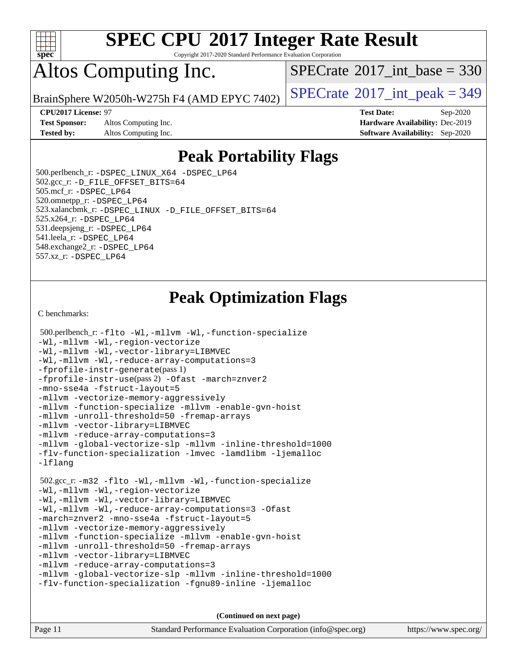

Copyright 2017-2020 Standard Performance Evaluation Corporation

## Altos Computing Inc.

 $SPECTate$ <sup>®</sup>[2017\\_int\\_base =](http://www.spec.org/auto/cpu2017/Docs/result-fields.html#SPECrate2017intbase) 330

**[Test Sponsor:](http://www.spec.org/auto/cpu2017/Docs/result-fields.html#TestSponsor)** Altos Computing Inc. **[Hardware Availability:](http://www.spec.org/auto/cpu2017/Docs/result-fields.html#HardwareAvailability)** Dec-2019 **[Tested by:](http://www.spec.org/auto/cpu2017/Docs/result-fields.html#Testedby)** Altos Computing Inc. **[Software Availability:](http://www.spec.org/auto/cpu2017/Docs/result-fields.html#SoftwareAvailability)** Sep-2020

BrainSphere W2050h-W275h F4 (AMD EPYC 7402)  $\vert$  [SPECrate](http://www.spec.org/auto/cpu2017/Docs/result-fields.html#SPECrate2017intpeak)®[2017\\_int\\_peak = 3](http://www.spec.org/auto/cpu2017/Docs/result-fields.html#SPECrate2017intpeak)49

**[CPU2017 License:](http://www.spec.org/auto/cpu2017/Docs/result-fields.html#CPU2017License)** 97 **[Test Date:](http://www.spec.org/auto/cpu2017/Docs/result-fields.html#TestDate)** Sep-2020

## **[Peak Portability Flags](http://www.spec.org/auto/cpu2017/Docs/result-fields.html#PeakPortabilityFlags)**

 500.perlbench\_r: [-DSPEC\\_LINUX\\_X64](http://www.spec.org/cpu2017/results/res2020q4/cpu2017-20200918-24009.flags.html#b500.perlbench_r_peakPORTABILITY_DSPEC_LINUX_X64) [-DSPEC\\_LP64](http://www.spec.org/cpu2017/results/res2020q4/cpu2017-20200918-24009.flags.html#b500.perlbench_r_peakEXTRA_PORTABILITY_DSPEC_LP64) 502.gcc\_r: [-D\\_FILE\\_OFFSET\\_BITS=64](http://www.spec.org/cpu2017/results/res2020q4/cpu2017-20200918-24009.flags.html#user_peakEXTRA_PORTABILITY502_gcc_r_F-D_FILE_OFFSET_BITS_5ae949a99b284ddf4e95728d47cb0843d81b2eb0e18bdfe74bbf0f61d0b064f4bda2f10ea5eb90e1dcab0e84dbc592acfc5018bc955c18609f94ddb8d550002c) 505.mcf\_r: [-DSPEC\\_LP64](http://www.spec.org/cpu2017/results/res2020q4/cpu2017-20200918-24009.flags.html#suite_peakEXTRA_PORTABILITY505_mcf_r_DSPEC_LP64) 520.omnetpp\_r: [-DSPEC\\_LP64](http://www.spec.org/cpu2017/results/res2020q4/cpu2017-20200918-24009.flags.html#suite_peakEXTRA_PORTABILITY520_omnetpp_r_DSPEC_LP64) 523.xalancbmk\_r: [-DSPEC\\_LINUX](http://www.spec.org/cpu2017/results/res2020q4/cpu2017-20200918-24009.flags.html#b523.xalancbmk_r_peakPORTABILITY_DSPEC_LINUX) [-D\\_FILE\\_OFFSET\\_BITS=64](http://www.spec.org/cpu2017/results/res2020q4/cpu2017-20200918-24009.flags.html#user_peakEXTRA_PORTABILITY523_xalancbmk_r_F-D_FILE_OFFSET_BITS_5ae949a99b284ddf4e95728d47cb0843d81b2eb0e18bdfe74bbf0f61d0b064f4bda2f10ea5eb90e1dcab0e84dbc592acfc5018bc955c18609f94ddb8d550002c) 525.x264\_r: [-DSPEC\\_LP64](http://www.spec.org/cpu2017/results/res2020q4/cpu2017-20200918-24009.flags.html#suite_peakEXTRA_PORTABILITY525_x264_r_DSPEC_LP64) 531.deepsjeng\_r: [-DSPEC\\_LP64](http://www.spec.org/cpu2017/results/res2020q4/cpu2017-20200918-24009.flags.html#suite_peakEXTRA_PORTABILITY531_deepsjeng_r_DSPEC_LP64) 541.leela\_r: [-DSPEC\\_LP64](http://www.spec.org/cpu2017/results/res2020q4/cpu2017-20200918-24009.flags.html#suite_peakEXTRA_PORTABILITY541_leela_r_DSPEC_LP64) 548.exchange2\_r: [-DSPEC\\_LP64](http://www.spec.org/cpu2017/results/res2020q4/cpu2017-20200918-24009.flags.html#suite_peakEXTRA_PORTABILITY548_exchange2_r_DSPEC_LP64) 557.xz\_r: [-DSPEC\\_LP64](http://www.spec.org/cpu2017/results/res2020q4/cpu2017-20200918-24009.flags.html#suite_peakEXTRA_PORTABILITY557_xz_r_DSPEC_LP64)

## **[Peak Optimization Flags](http://www.spec.org/auto/cpu2017/Docs/result-fields.html#PeakOptimizationFlags)**

[C benchmarks](http://www.spec.org/auto/cpu2017/Docs/result-fields.html#Cbenchmarks):

```
 500.perlbench_r: -flto -Wl,-mllvm -Wl,-function-specialize
-Wl,-mllvm -Wl,-region-vectorize
-Wl,-mllvm -Wl,-vector-library=LIBMVEC
-Wl,-mllvm -Wl,-reduce-array-computations=3
-fprofile-instr-generate(pass 1)
-fprofile-instr-use(pass 2) -Ofast -march=znver2
-mno-sse4a -fstruct-layout=5
-mllvm -vectorize-memory-aggressively
-mllvm -function-specialize -mllvm -enable-gvn-hoist
-mllvm -unroll-threshold=50 -fremap-arrays
-mllvm -vector-library=LIBMVEC
-mllvm -reduce-array-computations=3
-mllvm -global-vectorize-slp -mllvm -inline-threshold=1000
-flv-function-specialization -lmvec -lamdlibm -ljemalloc
-lflang
 502.gcc_r: -m32 -flto -Wl,-mllvm -Wl,-function-specialize
-Wl,-mllvm -Wl,-region-vectorize
-Wl,-mllvm -Wl,-vector-library=LIBMVEC
-Wl,-mllvm -Wl,-reduce-array-computations=3 -Ofast
-march=znver2 -mno-sse4a -fstruct-layout=5
-mllvm -vectorize-memory-aggressively
-mllvm -function-specialize -mllvm -enable-gvn-hoist
-mllvm -unroll-threshold=50 -fremap-arrays
-mllvm -vector-library=LIBMVEC
-mllvm -reduce-array-computations=3
-mllvm -global-vectorize-slp -mllvm -inline-threshold=1000
-flv-function-specialization -fgnu89-inline -ljemalloc
```
**(Continued on next page)**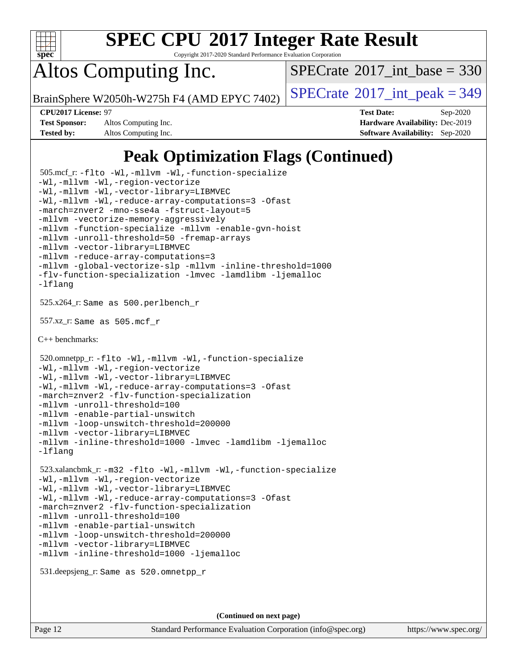

Copyright 2017-2020 Standard Performance Evaluation Corporation

Altos Computing Inc.

 $SPECTate$ <sup>®</sup>[2017\\_int\\_base =](http://www.spec.org/auto/cpu2017/Docs/result-fields.html#SPECrate2017intbase) 330

BrainSphere W2050h-W275h F4 (AMD EPYC 7402)  $\vert$  [SPECrate](http://www.spec.org/auto/cpu2017/Docs/result-fields.html#SPECrate2017intpeak)®[2017\\_int\\_peak = 3](http://www.spec.org/auto/cpu2017/Docs/result-fields.html#SPECrate2017intpeak)49

**[Test Sponsor:](http://www.spec.org/auto/cpu2017/Docs/result-fields.html#TestSponsor)** Altos Computing Inc. **[Hardware Availability:](http://www.spec.org/auto/cpu2017/Docs/result-fields.html#HardwareAvailability)** Dec-2019 **[Tested by:](http://www.spec.org/auto/cpu2017/Docs/result-fields.html#Testedby)** Altos Computing Inc. **[Software Availability:](http://www.spec.org/auto/cpu2017/Docs/result-fields.html#SoftwareAvailability)** Sep-2020

**[CPU2017 License:](http://www.spec.org/auto/cpu2017/Docs/result-fields.html#CPU2017License)** 97 **[Test Date:](http://www.spec.org/auto/cpu2017/Docs/result-fields.html#TestDate)** Sep-2020

## **[Peak Optimization Flags \(Continued\)](http://www.spec.org/auto/cpu2017/Docs/result-fields.html#PeakOptimizationFlags)**

```
 505.mcf_r: -flto -Wl,-mllvm -Wl,-function-specialize
-Wl,-mllvm -Wl,-region-vectorize
-Wl,-mllvm -Wl,-vector-library=LIBMVEC
-Wl,-mllvm -Wl,-reduce-array-computations=3 -Ofast
-march=znver2 -mno-sse4a -fstruct-layout=5
-mllvm -vectorize-memory-aggressively
-mllvm -function-specialize -mllvm -enable-gvn-hoist
-mllvm -unroll-threshold=50 -fremap-arrays
-mllvm -vector-library=LIBMVEC
-mllvm -reduce-array-computations=3
-mllvm -global-vectorize-slp -mllvm -inline-threshold=1000
-flv-function-specialization -lmvec -lamdlibm -ljemalloc
-lflang
 525.x264_r: Same as 500.perlbench_r
 557.xz_r: Same as 505.mcf_r
C++ benchmarks: 
 520.omnetpp_r: -flto -Wl,-mllvm -Wl,-function-specialize
-Wl,-mllvm -Wl,-region-vectorize
-Wl,-mllvm -Wl,-vector-library=LIBMVEC
-Wl,-mllvm -Wl,-reduce-array-computations=3 -Ofast
-march=znver2 -flv-function-specialization
-mllvm -unroll-threshold=100
-mllvm -enable-partial-unswitch
-mllvm -loop-unswitch-threshold=200000
-mllvm -vector-library=LIBMVEC
-mllvm -inline-threshold=1000 -lmvec -lamdlibm -ljemalloc
-lflang
 523.xalancbmk_r: -m32 -flto -Wl,-mllvm -Wl,-function-specialize
-Wl,-mllvm -Wl,-region-vectorize
-Wl,-mllvm -Wl,-vector-library=LIBMVEC
-Wl,-mllvm -Wl,-reduce-array-computations=3 -Ofast
-march=znver2 -flv-function-specialization
-mllvm -unroll-threshold=100
-mllvm -enable-partial-unswitch
-mllvm -loop-unswitch-threshold=200000
-mllvm -vector-library=LIBMVEC
-mllvm -inline-threshold=1000 -ljemalloc
 531.deepsjeng_r: Same as 520.omnetpp_r
```
**(Continued on next page)**